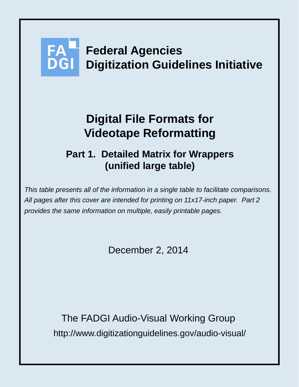# **Federal Agencies Digitization Guidelines Initiative**

## **Digital File Formats for Videotape Reformatting**

### **Part 1. Detailed Matrix for Wrappers (unified large table)**

*This table presents all of the information in a single table to facilitate comparisons. All pages after this cover are intended for printing on 11x17-inch paper. Part 2 provides the same information on multiple, easily printable pages.*

December 2, 2014

http://www.digitizationguidelines.gov/audio-visual/ The FADGI Audio-Visual Working Group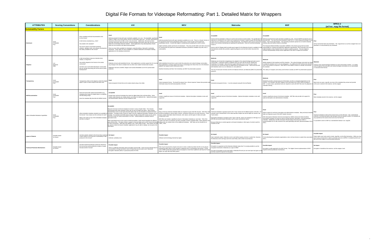#### Digital File Formats for Videotape Reformatting: Part 1. Detailed Matrix for Wrappers

| <b>ATTRIBUTES</b>                      | <b>Scoring Conventions</b>   | <b>Considerations</b>                                                                                                                                                                                                                                                                | <b>AVI</b>                                                                                                                                                                                                                                                                                                                                                                                                                                                                                                                                                                                                                                                                                                                                                                                                                                                                                                                                                                                       | <b>MOV</b>                                                                                                                                                                                                                                                                                                                                                                                                                                                                                                                                                                                                                            | <b>Matroska</b>                                                                                                                                                                                                                                                                                                                                                                                                                                                                                                                                                                                                                      | <b>MXF</b>                                                                                                                                                                                                                                                                                                                                                                                                                                                                                                                                                                                                                                                                                                                        | MPEG-2<br>(ad hoc .mpg file format)                                                                                                                                                                                                                                                                                              |
|----------------------------------------|------------------------------|--------------------------------------------------------------------------------------------------------------------------------------------------------------------------------------------------------------------------------------------------------------------------------------|--------------------------------------------------------------------------------------------------------------------------------------------------------------------------------------------------------------------------------------------------------------------------------------------------------------------------------------------------------------------------------------------------------------------------------------------------------------------------------------------------------------------------------------------------------------------------------------------------------------------------------------------------------------------------------------------------------------------------------------------------------------------------------------------------------------------------------------------------------------------------------------------------------------------------------------------------------------------------------------------------|---------------------------------------------------------------------------------------------------------------------------------------------------------------------------------------------------------------------------------------------------------------------------------------------------------------------------------------------------------------------------------------------------------------------------------------------------------------------------------------------------------------------------------------------------------------------------------------------------------------------------------------|--------------------------------------------------------------------------------------------------------------------------------------------------------------------------------------------------------------------------------------------------------------------------------------------------------------------------------------------------------------------------------------------------------------------------------------------------------------------------------------------------------------------------------------------------------------------------------------------------------------------------------------|-----------------------------------------------------------------------------------------------------------------------------------------------------------------------------------------------------------------------------------------------------------------------------------------------------------------------------------------------------------------------------------------------------------------------------------------------------------------------------------------------------------------------------------------------------------------------------------------------------------------------------------------------------------------------------------------------------------------------------------|----------------------------------------------------------------------------------------------------------------------------------------------------------------------------------------------------------------------------------------------------------------------------------------------------------------------------------|
| <b>Sustainability Factors</b>          |                              |                                                                                                                                                                                                                                                                                      |                                                                                                                                                                                                                                                                                                                                                                                                                                                                                                                                                                                                                                                                                                                                                                                                                                                                                                                                                                                                  |                                                                                                                                                                                                                                                                                                                                                                                                                                                                                                                                                                                                                                       |                                                                                                                                                                                                                                                                                                                                                                                                                                                                                                                                                                                                                                      |                                                                                                                                                                                                                                                                                                                                                                                                                                                                                                                                                                                                                                                                                                                                   |                                                                                                                                                                                                                                                                                                                                  |
| Disclosure                             | Good<br>Acceptable<br>Poor   | Does complete technical documentation exist<br>for this format?<br>Is the format a standard (e.g., ISO)?<br>How stable is the standard?<br>Are source code for associated rendering<br>software, validation tools, and software developmer<br>kits widely available for this format? | Well-documented format with open standards available at no cost. The OpenDML specificatio<br>written in 1996 is one of the primary sources of information about AVI. The RIFF specification<br>eleased by Microsoft and IBM, is also a key document. Additionally, Microsoft provides<br>thorough information about the format, including detailed information about file structures and<br>labels via its Developer Network website. Some applications may add proprietary chunks<br>which are not covered in the above documentation.<br>There are also SDKs available for developers using DirectShow, Microsoft's multimedia<br>framework. Those SDKs are also available on a website dedicated to developers building<br>applications for the desktop environment.                                                                                                                                                                                                                          | Well-documented format with open standards available at no cost. There is a Classic Version of<br>the QuickTime File Format specification (2001) and a current version of the QuickTime<br>specification (2012). It seems like Apple is maintaining and updating this current version.<br>Apple maintains portals and forums for developers. They also provide SDKs and other resource<br>for working with the QuickTime multimedia framework (sometimes available only with a fee or<br>subscription)                                                                                                                                | Matroska is considered to be a draft, but its proponents consider it stable enough that developers describe MXF. The main file format standard is SMPTE 377-1:2011 Material Exchange Format<br>could use it as a reference in order to refine libmatroska. The Matroska open-source community<br>seems to be actively maintaining and updating the specification; they are currently developing<br>ersion 4<br>Source code for ffmpeg (which provides good support for the Matroska format) is available for fr<br>The Matroska website also provides supporting diagrams and text that further document the                         | ormat and documentation continue to evolve and increase in level of detail. The specification for Well-documented format with standards available for a fee. Several SMPTE standards exist to<br>(MXF) - File Format Specification. The remaining standards specify how to handle metadata,<br>ancillary data and various essence encodings.<br>The Advanced Media Workflow Association (AMWA) is the industry group that has taken<br>responsibility for creating and publishing 'application specifications' which describe more narrow<br>implementations of the standard that are suited to specific purposes. This has helped to<br>increase interoperability among various applications that claim to support the standard. | Ad hoc format that lacks documentation. The .mpg format is an ad hoc wrapper that is not<br>specified in or documented by any standards.                                                                                                                                                                                         |
| <b>Adoptio</b>                         | Moderate<br>Wide             | Is this format likely to become obsolete short,<br>medium, or long-term?<br>How widely adopted is the format in the vendor<br>community?<br>Are there user communities/developer communities<br>that are actively discussing the format and its further<br>development?              | Relatively old and well-established format. Most applications currently support the AVI, but thi<br>may change in the short to medium-term as other more modern formats take its place<br>Digitization Services at NARA, Rutgers and Austrian Mediathek use AVI for preservation<br>purposes.                                                                                                                                                                                                                                                                                                                                                                                                                                                                                                                                                                                                                                                                                                    | Well-established format that is used in both the production and cultural heritage communities.<br>Most applications currently support the format, increasingly even those that run on the Windows<br>blatform can capture and/or transcode to MOV.<br>Stanford University and New York University use MOV for preservation purposes.                                                                                                                                                                                                                                                                                                  | Moderat<br>Relatively new format that is beginning to be adopted in the cultural heritage and open source<br>communities. A growing number of software tools can work with the format- ffmpeg and<br>Handbrake, for example. Most tools that support Matroska come out of the open source<br>community, but commercial tools are beginning to be developed as well. Most tools that work<br>with Matroska seem to run on Windows or Linux platforms.<br>The City of Vancouver Archives and the UK National Archives use Matroska (MKV) for preservatio<br>purposes.                                                                  | loderate<br>Widely adopted in the broadcast and film industries. The cultural heritage community has begu<br>to adopt the standard, but it is not yet widespread. It is unlikely that MXF will become obsolete,<br>even in the medium to long-term. Both SMPTE and AMWA continue to maintain and develop<br>the standard.<br>The Library of Congress and Library and Archives Canada use MXF for preservation purposes                                                                                                                                                                                                                                                                                                            | Used by some cultural heritage institutions to store preservation masters. It is widely<br>used throughout the production and cultural heritage communities as an intermediate<br>or mezzanine-level format.                                                                                                                     |
| Transparenc                            | Good<br>Acceptable<br>Poor   | Transparency refers to the degree to which the digital<br>object is open to direct analysis with basic tools.                                                                                                                                                                        | Fairly transparent format that can be easily viewed using a hex editor.                                                                                                                                                                                                                                                                                                                                                                                                                                                                                                                                                                                                                                                                                                                                                                                                                                                                                                                          | Fairly transparent format. The QuickTime player has a 'Movie Inspector' feature that provides bas<br>information about the technical properties of the file.                                                                                                                                                                                                                                                                                                                                                                                                                                                                          | Somewhat transparent format. It can be analyzed using the free tool ffprobe.                                                                                                                                                                                                                                                                                                                                                                                                                                                                                                                                                         | Moderate<br>MediaInfo provides a decent amount of information, but this is somewhat dependent on the<br>essence. For example, IMX MXF displays more information than JPEG-2000 encodings in<br>MXF. In some cases, specialized tools are required to work with MXF files even for playback or to the user is stored in the essence, not the wrapper.<br>metadata viewing.                                                                                                                                                                                                                                                                                                                                                         | Basic tools can open .mpg file, but most of the metadata they extract and provide                                                                                                                                                                                                                                                |
| Self-Documentation                     | Acceptable<br>Poor           | Does the format offer ample documentation (e.g.,<br>metadata) that makes the digital object a completely<br>self-describing entity?<br>Does the metadata fully describe the file/file format?                                                                                        | Acceptabl<br>nclude basic technical metadata that make the digital object fairly self-describing. Some<br>modern video features are notably absent; see below for additional info. Optional descriptive<br>and administrative elements can be included as well.                                                                                                                                                                                                                                                                                                                                                                                                                                                                                                                                                                                                                                                                                                                                  | Include a significant amount of technical metadata. Optional descriptive metadata is also well-<br>supported.                                                                                                                                                                                                                                                                                                                                                                                                                                                                                                                         | Include a significant amount of technical metadata. Optional descriptive metadata is also well-<br>supported                                                                                                                                                                                                                                                                                                                                                                                                                                                                                                                         | Include a significant amount of technical metadata. MXF files also provide rich support for<br>optional descriptive and administrative metadata.                                                                                                                                                                                                                                                                                                                                                                                                                                                                                                                                                                                  | Most metadata stored in the essence, not the wrapper.                                                                                                                                                                                                                                                                            |
| Native Embedded Metadata Capabilities  | Acceptable<br>Poor           | What is the extent of use of the embedded metadata specialized tools.<br>and who is using it?                                                                                                                                                                                        | equires that basic technical metadata be stored in various header fields. This includes<br>haracteristics like video standard, frame rate, bit rate, bit depth and others. More modern<br>haracteristics such as scan type and pixel aspect ratio are not included as required technical<br>What embedded metadata standards are available for metadata. Throughout other chunks (or tags) in the file, additional descriptive metadata can be<br>this format? How mature are the schemas for each? included. For example, the INAM chunk can give the title and the IART chunk can be used to<br>me the creator (or artist) responsible for an item. Adding additional metadata requires<br>Other specialized tools can be used to embed parseable or XML-based metadata into different<br>ir ICMT (comments). XMP data may appear in the _PMX (XMP) chunks. Junk chunks can also<br>ie used to embed text-based metadata; applications may be able to display, but not parse, this<br>ormation | technical metadata in various types of atoms, sometimes referred to as movie resources. These<br>atoms contain information about timescale, color values, and the types of video and audio<br>compression used.<br>MOV files can include a significant amount of descriptive metadata as 'user data.' Title of the<br>content and name of composer are basic examples of these metadata fields. Basic playback an<br>parts of these files. This data is likely to appear in free text fields such as IMIT (more information) editing tools can embed some of this additional metadata. XMP data can be included as an<br>"XMP_" atom. | Many of the key technical metadata fields are required as part of the file structure. MOV files store Technical metadata is typically stored in the 'Track' section for the different pieces of the file. F<br>example, basic characteristics of the video data like sample rate and bit depth are stored in the<br>Track section<br>Descriptive metadata is included via the 'Tags' in the file.; these are analogous to ID3 tags in a<br>MP3 file and would include information such as actor and director names.<br>Because Matroska is content agnostic xml-based metadata or other types of content could be<br>llew as behulon | Robust support for technical, descriptive and administrative metadata. Many technical metadata<br>fields are required as part of the MXF header structure.<br>DMS (Descriptive Metadata Schemes) developed by AMWA (Advanced Media Workflow<br>Association) members can also be used to include technical, descriptive and administrative<br>metadata. Additionally, the EBU (European Broadcasting Union) has also written a<br>recommendation for an XML schema to be used specifically with MXF (Recommendation R12<br>2007)                                                                                                                                                                                                   | echnical metadata is held at the essence level, not the file level. Also, standardized<br>methods of carrying descriptive data (program title and episode number, for example) are<br>only specified at the essence level and not at the file level.<br>It is possible to store to XMP as a standardized sidecar to an .mpg file |
| <b>Impact of Patents</b>               | Possible Impact<br>No Impact | Are there patents related to this format that could have No Impact<br>a direct impact on the long-term sustainability of files<br>produced in this format?                                                                                                                           | Jnknown, probably none.                                                                                                                                                                                                                                                                                                                                                                                                                                                                                                                                                                                                                                                                                                                                                                                                                                                                                                                                                                          | Possible Impact<br>Software and technology licensed by Apple.                                                                                                                                                                                                                                                                                                                                                                                                                                                                                                                                                                         | No Impac<br>Open standards project. Matroska can be used without paying a license or patent fee. However,<br>the Matroska name and logo cannot be used freely under certain circumstances.                                                                                                                                                                                                                                                                                                                                                                                                                                           | No Impac<br>Format developed by standards organizations, does not have license or patent fees associa<br>with it.                                                                                                                                                                                                                                                                                                                                                                                                                                                                                                                                                                                                                 | Possible Impact<br>Patent rights cover tools used to create .mpg files, not the files themselves. While you may<br>have to pay a license fee in order to purchase and use an MPEG-2 compliant product your<br>files will not be subject to any licensing restrictions.                                                           |
| <b>Technical Protection Mechanisms</b> | Possible Impact<br>No Impact | Are there technical protection measures inherent to<br>this format that would prohibit the creation of ample<br>derivatives/other formats?                                                                                                                                           | Possible Impact<br>There is conflicting information about encryption and AVI files. Some sources indicate that it's<br>not possible to encrypt and others seem to imply that tools do exist to use "Advanced<br>Encryption Standard (AES)" to password protect AVI files.                                                                                                                                                                                                                                                                                                                                                                                                                                                                                                                                                                                                                                                                                                                        | Possible Impact<br>Files may be structured to require end-users to enter a media key before the file can be played.<br>Newsgroup traffic about iTunes includes a statement from a commentator that reports, "iTunes<br>uses a DRM system that prevents files to be played on more than 3 platforms and only the iTunes<br>player can cope with that DRM system."                                                                                                                                                                                                                                                                      | Possible Impact<br>ncryption is supported and the Matroska Website states that "It is easily possible to use the<br>encryption framework in Matroska as a type of DRM."<br>Any type of encryption can be used within a Matroska file and you can even layer two types so th<br>two keys would be required for decryption.                                                                                                                                                                                                                                                                                                            | Possible Impac<br>ncryption is well-supported in the MXF format. The Digital Cinema implementation of MXF<br>requires technical protection mechanisms.                                                                                                                                                                                                                                                                                                                                                                                                                                                                                                                                                                            | No Impact<br>Encryption is handled at the essence, not the wrapper, level.                                                                                                                                                                                                                                                       |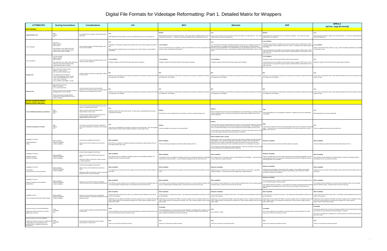#### Digital File Formats for Videotape Reformatting: Part 1. Detailed Matrix for Wrappers

| <b>ATTRIBUTES</b>                                                                                                                                                                                         | <b>Scoring Conventions</b>                                                                                                                                                                                                                                                      | <b>Considerations</b>                                                                                                                                                                                                                                                                                                   | AVI                                                                                                                                                                                                                                                                                                                                                                    | <b>MOV</b>                                                                                                                                                                                                                                                                       | <b>Matroska</b>                                                                                                                                                                                                                                                                                                                                                                                                                                                                                                                                                                                              | <b>MXF</b>                                                                                                                                                                                                                                                                                                                                                                                                                                                                   | MPEG-2<br>(ad hoc .mpg file format)                                                                                                                                                                                                                                                                      |
|-----------------------------------------------------------------------------------------------------------------------------------------------------------------------------------------------------------|---------------------------------------------------------------------------------------------------------------------------------------------------------------------------------------------------------------------------------------------------------------------------------|-------------------------------------------------------------------------------------------------------------------------------------------------------------------------------------------------------------------------------------------------------------------------------------------------------------------------|------------------------------------------------------------------------------------------------------------------------------------------------------------------------------------------------------------------------------------------------------------------------------------------------------------------------------------------------------------------------|----------------------------------------------------------------------------------------------------------------------------------------------------------------------------------------------------------------------------------------------------------------------------------|--------------------------------------------------------------------------------------------------------------------------------------------------------------------------------------------------------------------------------------------------------------------------------------------------------------------------------------------------------------------------------------------------------------------------------------------------------------------------------------------------------------------------------------------------------------------------------------------------------------|------------------------------------------------------------------------------------------------------------------------------------------------------------------------------------------------------------------------------------------------------------------------------------------------------------------------------------------------------------------------------------------------------------------------------------------------------------------------------|----------------------------------------------------------------------------------------------------------------------------------------------------------------------------------------------------------------------------------------------------------------------------------------------------------|
| <b>Cost Factors</b>                                                                                                                                                                                       |                                                                                                                                                                                                                                                                                 |                                                                                                                                                                                                                                                                                                                         |                                                                                                                                                                                                                                                                                                                                                                        |                                                                                                                                                                                                                                                                                  |                                                                                                                                                                                                                                                                                                                                                                                                                                                                                                                                                                                                              |                                                                                                                                                                                                                                                                                                                                                                                                                                                                              |                                                                                                                                                                                                                                                                                                          |
| nplementation Cost                                                                                                                                                                                        | Medium<br>Low                                                                                                                                                                                                                                                                   | How expensive is it to capture, edit, store and move<br>these files?                                                                                                                                                                                                                                                    | Well-supported and fairly simple, the costs for implementing this format are typically low                                                                                                                                                                                                                                                                             | Medium<br>Well-supported by free and commercial software. More costly options will likely provide a richer so<br>of features and functions. Therefore it may require additional costs to implement this format.                                                                  | Comes out of the open-source community and tools that support it are generally free. The costs fr<br>implementing this format are typically low.                                                                                                                                                                                                                                                                                                                                                                                                                                                             | Well-supported by commercial tools, but somewhat complicated. This format may require<br>additional costs to implement.                                                                                                                                                                                                                                                                                                                                                      | Low<br>Well-supported by both free software and commercial tools. The costs for implementing thi<br>format are typically low.                                                                                                                                                                            |
| Cost of Software                                                                                                                                                                                          | Low= Free<br>Medium= \$500+<br>High= \$1000+<br>Even though you can capture video with<br>software alone, robust hardware makes<br>capturing video faster and better.                                                                                                           | How much does capture and editing software cost?<br>Are free tools available?                                                                                                                                                                                                                                           | VirtualDub is a well-known example of free software that can be used to capture and edit AVI<br>Many commercial software tools can also capture to AVI, these range in cost and platform<br>compatibility.                                                                                                                                                             | Low to Mediu<br>ow cost commercial tools are available to capture and edit MOV files, but more costly options wi<br>provide a richer set of features and functions                                                                                                               | You can transcode to Matroska (sometimes losslessly and with just a re-wrapping process) with<br>free software tools. According to the Matroska FAQ, it may be possible to encode directly to<br>Matroska using VirtualdubMod: "From VirtualdubMod you can also directly encode into .mky file<br>from any source that it can open, and using every available VfW and ACM codecs, even in 2 pa<br>mnde                                                                                                                                                                                                       | Low to Medium<br>The BBC's Ingex System is available for free and can capture to MXF, specifically the archive<br>component (Ingex Archive) captures to MXF OP-1a files. It is designed to be used for tape-to<br>Commercial products are available at a wide range of costs to capture to MXF as well. These<br>range from basic or average video capture setups to hardware/software combinations that an<br>quite expensive                                               | <b>Low to Mediun</b><br>Various commercial products capture to .mpg. Some free software applications are availabl<br>to transcode to .mpg.                                                                                                                                                               |
| Cost of Hardware                                                                                                                                                                                          | Low=up to \$1000<br>Medium= \$1000+<br>High= \$10000+<br>Even though you can capture video with chea<br>hardware, more robust hardware makes<br>capturing/editing faster and better.                                                                                            | How much does capture and editing hardware cost?<br>Are low-cost tools sufficient?                                                                                                                                                                                                                                      | Low to Mediur<br>Possible to capture to this format with fairly cheap, generic hardware.                                                                                                                                                                                                                                                                               | Low to Mediu<br>Possible to capture to this format with fairly cheap, generic hardware.                                                                                                                                                                                          | Low to Mediun<br>Possible to capture to this format with fairly cheap, generic hardware.                                                                                                                                                                                                                                                                                                                                                                                                                                                                                                                     | Low to Medium<br>Possible to capture to this format with fairly cheap, generic hardware.<br>Commercial products are available at a wide range of costs to capture to MXF as well. These<br>range from basic or average video capture setups to hardware/software combinations that are<br>quite expensive                                                                                                                                                                    | Possible to capture to this format with fairly cheap, generic hardware.                                                                                                                                                                                                                                  |
| <b>Storage Cost</b>                                                                                                                                                                                       | High= More than 1 GB per minute<br>Medium= 1 GB per minute<br>Low= Less than 1 GB per minute<br>For additional frame of reference:<br>1 hour of uncompressed 10-bit = 94 GB<br>1 hour of uncompressed 8-bit =72 GB<br>hour of J2K = 52.83 GB<br>hour of MPEG-2 @ 50Mbps = 23 GB | Are files created in this format usually large, medium<br>or small in size?                                                                                                                                                                                                                                             | are supported in this wrapper).                                                                                                                                                                                                                                                                                                                                        | Depends on the encoding you select (both uncompressed and losslessly compressed encoding Depends on the encoding you select (both uncompressed and losslessly compressed encodings<br>are supported in this wrapper).                                                            | Depends on the encoding you select (both uncompressed and losslessly compressed encodings<br>are supported in this wrapper).                                                                                                                                                                                                                                                                                                                                                                                                                                                                                 | Depends on the encoding you select (both uncompressed and losslessly compressed encodings Cannot store uncompressed video in this wrapper therefore the file size and storage cost w<br>are supported in this wrapper).                                                                                                                                                                                                                                                      | Low<br>always be lower                                                                                                                                                                                                                                                                                   |
| <b>Network Cost</b>                                                                                                                                                                                       | High= More than real-time<br>Medium= Real-time<br>Low= Less than real-time<br>These costs may be more sensitive to scale<br>hroughput than to size of the files.<br>We are assuming an average network<br>infrastructure, probably GigE with close to<br>1Gbps throughput.      | Does the transfer of files in this format affect<br>performance of internal networks to the point where it<br>would cost more to implement this format?                                                                                                                                                                 | Depends on the encoding you select (both uncompressed and losslessly compressed encodin<br>are supported in this wrapper).                                                                                                                                                                                                                                             | Depends on the encoding you select (both uncompressed and losslessly compressed encodings<br>are supported in this wrapper).                                                                                                                                                     | Depends on the encoding you select (both uncompressed and losslessly compressed encodings<br>are supported in this wrapper).                                                                                                                                                                                                                                                                                                                                                                                                                                                                                 | Depends on the encoding you select (both uncompressed and losslessly compressed encodings Cannot store uncompressed video in this wrapper therefore the file size and network cost wi<br>are supported in this wrapper).                                                                                                                                                                                                                                                     | always be lower                                                                                                                                                                                                                                                                                          |
| <b>System Implementation</b>                                                                                                                                                                              |                                                                                                                                                                                                                                                                                 |                                                                                                                                                                                                                                                                                                                         |                                                                                                                                                                                                                                                                                                                                                                        |                                                                                                                                                                                                                                                                                  |                                                                                                                                                                                                                                                                                                                                                                                                                                                                                                                                                                                                              |                                                                                                                                                                                                                                                                                                                                                                                                                                                                              |                                                                                                                                                                                                                                                                                                          |
| <b>Factors (Full Lifecycle)</b><br>Level of difficulty/complexity to implement                                                                                                                            | Medium                                                                                                                                                                                                                                                                          | Given all of the system implementation factors, how<br>hard is it to implement this format?<br>What is the level of effort associated with the<br>nplementation of this format?<br>Are there special requirements for this format that<br>would change the nominal workflow for<br>digitization/information life cycle? | Relatively simple RIFF-based chunk format. It's fairly easy to understand the file structure,<br>create files and edit files                                                                                                                                                                                                                                           | File structure is more complex than AVI, for example, so there's a steeper learning curve.                                                                                                                                                                                       | Still an emerging format so the tools and knowledge base are still developing. Increasing number<br>of tools coming out of the commercial community add to existing tools available from the open<br>source community.                                                                                                                                                                                                                                                                                                                                                                                       | Tools and workflows can be complicated to implement. Sometimes tools do not interoperate                                                                                                                                                                                                                                                                                                                                                                                     | Well-supported and not overly complicated.                                                                                                                                                                                                                                                               |
| <b>Technical Complexity of Toolsets</b>                                                                                                                                                                   | Medium                                                                                                                                                                                                                                                                          | Are the tools command-line meant for engineers o<br>GUI-centered applications accessible to the average                                                                                                                                                                                                                 | ools such as AVI MetaEdit are available as both GUIs and command line. Also, the relatively<br>simple structure of format makes it easily accessible to a wide range of users                                                                                                                                                                                          | Tools are available, but the variety is somewhat limited.                                                                                                                                                                                                                        | Tools and other resources are becoming more numerous. Current tools (like FAME) are geared t<br>those with strong developer skills and not necessarily for the general public. They probably run<br>from a command-line instead of a GUI and may require less common platforms such as Linux.<br>Commercial tools are also beginning to support Matroska. These are more likely to work out-of-<br>box and will probably require less technical expertise to implement                                                                                                                                       | Current tools are geared for those with strong developer skills and not necessarily for the genera<br>bublic. Tools may run from a command-line instead of a GUI and may require less common<br>platforms such as Linux.                                                                                                                                                                                                                                                     | Tools are available as both GUIs and command line.                                                                                                                                                                                                                                                       |
| Availability of Tools for<br>Rendering/playback<br>Editing                                                                                                                                                | Wide availability<br>Moderate availability<br>Limited availability                                                                                                                                                                                                              | Are there tools available for this format?<br>What is the mix of free software and commercia                                                                                                                                                                                                                            | <b>Wide Availability</b><br>Many tools are available for rendering and playback including free software players like VLC.<br>Free editing software also exists.                                                                                                                                                                                                        | Wide Availability<br>Tools for rendering and playback include free software players like VLC.                                                                                                                                                                                    | Wide Availability (with a caveat)<br>Matroska files need CCCP (Combined Community Codec Pack) to playback through DirectShov<br>media players such as Windows Media Player on Windows-machines. Other non-DirectShow<br>players like VLC and MPV can play MKV files without the need for a parser. Mac and Linux<br>operating systems similarly don't need a DirectShow parser since it's a Windows-only concern.<br>Commercial tools are also beginning to support Matroska. These are more likely to work out-of-t<br>box and will require less technical expertise to implement.                          | Moderate Availabilitv<br>Tools are mostly commercial, but free software options are growing.                                                                                                                                                                                                                                                                                                                                                                                 | <b>Wide Availability</b><br>Tools for rendering and playback include free software players like VLC.                                                                                                                                                                                                     |
| Availability of Tools for<br>Metadata extraction<br>Metadata embedding                                                                                                                                    | Wide availability<br>Moderate availability<br>Limited availability                                                                                                                                                                                                              | Are there tools available for this format?<br>What is the mix of free software and commercial<br>What level of effort is necessary in order to extract<br>or embed metadata?                                                                                                                                            | <b>Wide Availability</b><br>Free software tools are available for metadata extraction and embedding; MediaInfo, AVI<br>MetaEdit and abcAVI are good examples.                                                                                                                                                                                                          | Wide Availabili<br>Hootenanny are good examples. Low-cost editing and playback tools can also do this work.                                                                                                                                                                      | <b>Wide Availabilit</b><br>Free software tools are available for metadata extraction and embedding; Medialnfo and Metadata Free software tools for metadata extraction include MediaInfo and mkvalidator. Commercial tools<br>are also beginning to support Matroska.                                                                                                                                                                                                                                                                                                                                        | Moderate Availability<br>Tools are available, but tend to be commercial and are not necessarily interoperable. One fre<br>software option for MXF AS-11 (Program Contribution) files using the DPP (Digital Production<br>Partnership) DMS is also available.                                                                                                                                                                                                                | Wide Availabil<br>Free software tools like MediaInfo and VideoInspector can perform metadata extraction.<br>Embedding tools are most likely commercial.                                                                                                                                                  |
| Availability of Tools for:<br>Transcoding<br>(understood here to mean transwrap)                                                                                                                          | Wide availability<br>Moderate availability<br>Limited availability                                                                                                                                                                                                              | Are there tools available for this format?<br>What is the mix of free software and commercial<br>What level of effort is necessary in order to transco<br>[understood here to mean transwrap]?                                                                                                                          | <b>Wide Availability</b><br>work with it.                                                                                                                                                                                                                                                                                                                              | Wide Availabilit<br>It is relatively easy to transcode from this wrapper since both commercial and free software can Relatively easy to transcode from this wrapper since both commercial and ree software can work. Relatively easy to transcode<br>with it.                    | <b>Moderate Availability</b><br>FAME and ffmpeg. Commercial tools are also beginning to support Matroska.                                                                                                                                                                                                                                                                                                                                                                                                                                                                                                    | Moderate Availability<br>Sometimes have the ability to transcode from this wrapper. The complexity of the options<br>including Operational Patterns (OP), Application Specifications (AS), Shims and essence<br>encoding can make this more difficult.                                                                                                                                                                                                                       | <b>Wide Availability</b><br>Relatively easy to transcode from this wrapper, both commercial and free software tools can<br>work with it                                                                                                                                                                  |
| Availability of Tools to:<br>Measure Compliance with Institutional<br>Specifications                                                                                                                      | Wide availability<br>Moderate availability<br>Limited availability                                                                                                                                                                                                              | How easy is it to ensure that you are producing<br>a file that conforms to your institutional specifications                                                                                                                                                                                                            | <b>Wide Availabilit</b><br>Free software tools like MediaInfo and AVI MetaEdit can extract technical metadata which can<br>be compared against institutional specs. Commercial tools can also do this work.                                                                                                                                                            | <b>Wide Availability</b><br>Free software tools like MediaInfo and Metadata Hootenanny can extract technical metadata which<br>can be compared against institutional specs. Commercial tools can also do this work.                                                              | <b>Wide Availability</b><br>Free software tools like MediaInfo can extract technical metadata which can be compared aga<br>institutional specs. Commercial tools can also do this work.                                                                                                                                                                                                                                                                                                                                                                                                                      | <b>Moderate Availability</b><br>Commercial tools (some of which are highly specialized) can extract technical metadata which Wide Availability<br>can be compared against institutional specs.<br>Free software options are growing. The complexity of the options including Operational Patterns against institutional specs. Commercial tools can also do this work.<br>(OP), Application Specifications (AS), Shims and essence encoding can make this more<br>difficult. | Free software tools like MediaInfo can extract technical metadata which can be compared                                                                                                                                                                                                                  |
| Availability Tools to:<br>Tools to Evaluate and Monitor Content Quality                                                                                                                                   | Wide availability<br>Moderate availability<br>Limited availability                                                                                                                                                                                                              | How easy is it to ensure that you are producing<br>a file that conforms to broadcast specifications or of<br>quality measures?                                                                                                                                                                                          | <b>Wide Availability</b><br>Commercial tools can perform these tasks. Free software tools like MediaInfo could also be<br>used for QC-purposes<br>Additionally, the free software tool MDQC can perform quality control on metadata and Bay Are<br>Video Coalition (BAVC) has released free software (QC Tools) to perform quality control on<br>actual video content. | <b>Wide Availability</b><br>for QC-purposes.<br>Additionally, the free software tool MDQC can perform quality control on metadata and Bay Area<br>video content.                                                                                                                 | <b>Moderate Availability</b><br>Commercial tools can perform these tasks. Free software tools like MediaInfo could also be used Some commercial tools can perform these tasks. Free software tools like MediaInfo could also b<br>used for QC-purposes.<br>Additionally, the free software tool MDQC can perform quality control on metadata and Bay Area<br>Video Coalition (BAVC) has released free software (QC Tools) to perform quality control on actual Video Coalition (BAVC) has released free software (QC Tools) to perform quality control on actual video Coalition (BAVC) as<br>video content. | <b>Wide Availability</b><br>Commercial tools can perform these tasks. Free software tools like Medialnfo could also be use Commercial tools can perform these tasks. free software tools like Medialnfo could also be<br>for QC-purposes.<br>Additionally, the free software tool MDQC can perform quality control on metadata and Bay An<br>actual video content                                                                                                            | Wide Availabilit<br>used for QC-purposes<br>Additionally, the free software tool MDQC can perform quality control on metadata and Bay<br>Area Video Coalition (BAVC) has released free software (QC Tools) to perform<br>quality control on actual video content.                                        |
| Ease and Accuracy of Format Identification<br>(Defined by JHOVE as the format to which a<br>digital object conforms)                                                                                      | Acceptable                                                                                                                                                                                                                                                                      | Can the format be identified using DROID/PRONOM<br>or other tools?                                                                                                                                                                                                                                                      | ormat identification can be done by free tools like MediaInfo and DROID (PUID fmt/5) as well<br>as by commercial tools (as part of other QC tests).                                                                                                                                                                                                                    | Acceptabl<br>Format identification can be done by free tools like MediaInfo and DROID (PUID x-fmt/384) as we<br>as by commercial tools (as part of other QC tests). The structural variability of this format may<br>nake it slightly more difficult to pin down with certainty. | Not in DROID or UDFR.                                                                                                                                                                                                                                                                                                                                                                                                                                                                                                                                                                                        | Acceptabl<br>Poor for free software tools, but better for commercial tools. PUID is fmt/200 but it's a shell<br>ecord only. UDFR entry, but also just a shell.                                                                                                                                                                                                                                                                                                               | Acceptabl<br>Professional analysis tools are robust and readily available from the broadcasting commun<br>free software can also validate the technical integrity of .mpg files.<br>The PUID is x-fmt/385 and x-fmt/386 but it's a shell record only. An UDFR entry also exists,<br>but is just a shell. |
| Ease and Accuracy of Format Validation<br>(Defined by JHOVE as the level of compliance of<br>a digital object to the specification for its<br>purported format. Validation includes well-<br>formedness.) | Acceptable                                                                                                                                                                                                                                                                      | Does the format specification include concepts<br>and methods for conformance?                                                                                                                                                                                                                                          | There are no tools that can perform this task.                                                                                                                                                                                                                                                                                                                         | There are no tools that can perform this task.                                                                                                                                                                                                                                   | There are no tools that can perform this task.                                                                                                                                                                                                                                                                                                                                                                                                                                                                                                                                                               | There are no tools that can perform this task.                                                                                                                                                                                                                                                                                                                                                                                                                               | There are no tools that can perform this task.                                                                                                                                                                                                                                                           |